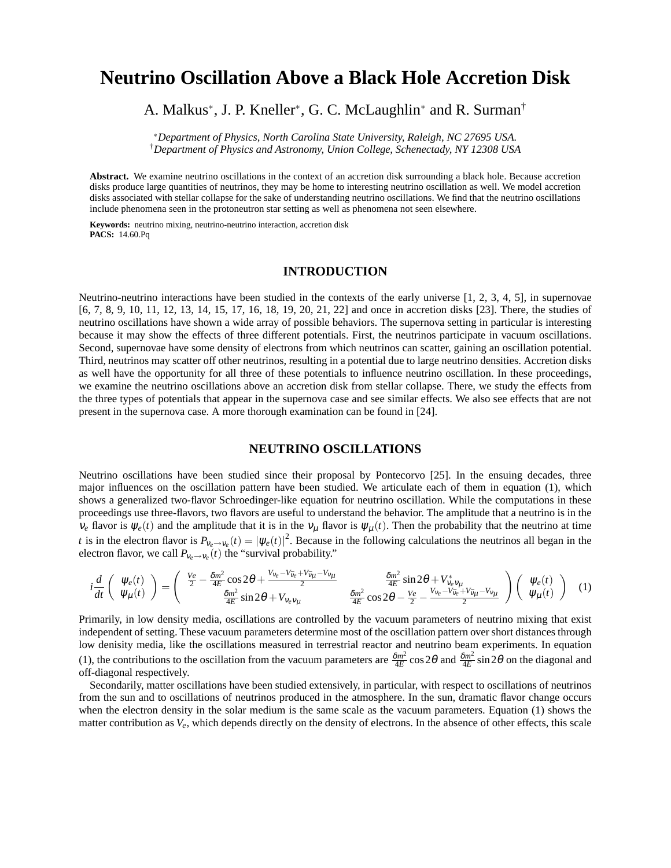# **Neutrino Oscillation Above a Black Hole Accretion Disk**

# A. Malkus<sup>\*</sup>, J. P. Kneller<sup>\*</sup>, G. C. McLaughlin<sup>\*</sup> and R. Surman<sup>†</sup>

<sup>∗</sup>*Department of Physics, North Carolina State University, Raleigh, NC 27695 USA.* †*Department of Physics and Astronomy, Union College, Schenectady, NY 12308 USA*

**Abstract.** We examine neutrino oscillations in the context of an accretion disk surrounding a black hole. Because accretion disks produce large quantities of neutrinos, they may be home to interesting neutrino oscillation as well. We model accretion disks associated with stellar collapse for the sake of understanding neutrino oscillations. We find that the neutrino oscillations include phenomena seen in the protoneutron star setting as well as phenomena not seen elsewhere.

**Keywords:** neutrino mixing, neutrino-neutrino interaction, accretion disk **PACS:** 14.60.Pq

# **INTRODUCTION**

Neutrino-neutrino interactions have been studied in the contexts of the early universe [1, 2, 3, 4, 5], in supernovae [6, 7, 8, 9, 10, 11, 12, 13, 14, 15, 17, 16, 18, 19, 20, 21, 22] and once in accretion disks [23]. There, the studies of neutrino oscillations have shown a wide array of possible behaviors. The supernova setting in particular is interesting because it may show the effects of three different potentials. First, the neutrinos participate in vacuum oscillations. Second, supernovae have some density of electrons from which neutrinos can scatter, gaining an oscillation potential. Third, neutrinos may scatter off other neutrinos, resulting in a potential due to large neutrino densities. Accretion disks as well have the opportunity for all three of these potentials to influence neutrino oscillation. In these proceedings, we examine the neutrino oscillations above an accretion disk from stellar collapse. There, we study the effects from the three types of potentials that appear in the supernova case and see similar effects. We also see effects that are not present in the supernova case. A more thorough examination can be found in [24].

#### **NEUTRINO OSCILLATIONS**

Neutrino oscillations have been studied since their proposal by Pontecorvo [25]. In the ensuing decades, three major influences on the oscillation pattern have been studied. We articulate each of them in equation (1), which shows a generalized two-flavor Schroedinger-like equation for neutrino oscillation. While the computations in these proceedings use three-flavors, two flavors are useful to understand the behavior. The amplitude that a neutrino is in the  $v_e$  flavor is  $\psi_e(t)$  and the amplitude that it is in the  $v_\mu$  flavor is  $\psi_\mu(t)$ . Then the probability that the neutrino at time *t* is in the electron flavor is  $P_{v_e \to v_e}(t) = |\psi_e(t)|^2$ . Because in the following calculations the neutrinos all began in the electron flavor, we call  $P_{v_e \to v_e}(t)$  the "survival probability."

$$
i\frac{d}{dt}\begin{pmatrix}\n\Psi_e(t) \\
\Psi_\mu(t)\n\end{pmatrix} = \begin{pmatrix}\n\frac{Ve}{2} - \frac{\delta m^2}{4E}\cos 2\theta + \frac{V_{ve} - V_{\tilde{v}_e} + V_{\tilde{v}_\mu} - V_{\tilde{v}_\mu}}{2} & \frac{\delta m^2}{4E}\sin 2\theta + V_{\tilde{v}_e}v_\mu \\
\frac{\delta m^2}{4E}\sin 2\theta + V_{\tilde{v}_e}v_\mu & \frac{\delta m^2}{4E}\cos 2\theta - \frac{Ve}{2} - \frac{V_{\tilde{v}_e} - V_{\tilde{v}_e} + V_{\tilde{v}_\mu} - V_{\tilde{v}_\mu}}{2}\end{pmatrix}\begin{pmatrix}\n\Psi_e(t) \\
\Psi_\mu(t)\n\end{pmatrix} (1)
$$

Primarily, in low density media, oscillations are controlled by the vacuum parameters of neutrino mixing that exist independent of setting. These vacuum parameters determine most of the oscillation pattern over short distances through low denisity media, like the oscillations measured in terrestrial reactor and neutrino beam experiments. In equation (1), the contributions to the oscillation from the vacuum parameters are  $\frac{\delta m^2}{4E}$  $\frac{\delta m^2}{4E}$  cos 2 $\theta$  and  $\frac{\delta m^2}{4E}$  $\frac{3m^2}{4E}$  sin 2 $\theta$  on the diagonal and off-diagonal respectively.

Secondarily, matter oscillations have been studied extensively, in particular, with respect to oscillations of neutrinos from the sun and to oscillations of neutrinos produced in the atmosphere. In the sun, dramatic flavor change occurs when the electron density in the solar medium is the same scale as the vacuum parameters. Equation (1) shows the matter contribution as *Ve*, which depends directly on the density of electrons. In the absence of other effects, this scale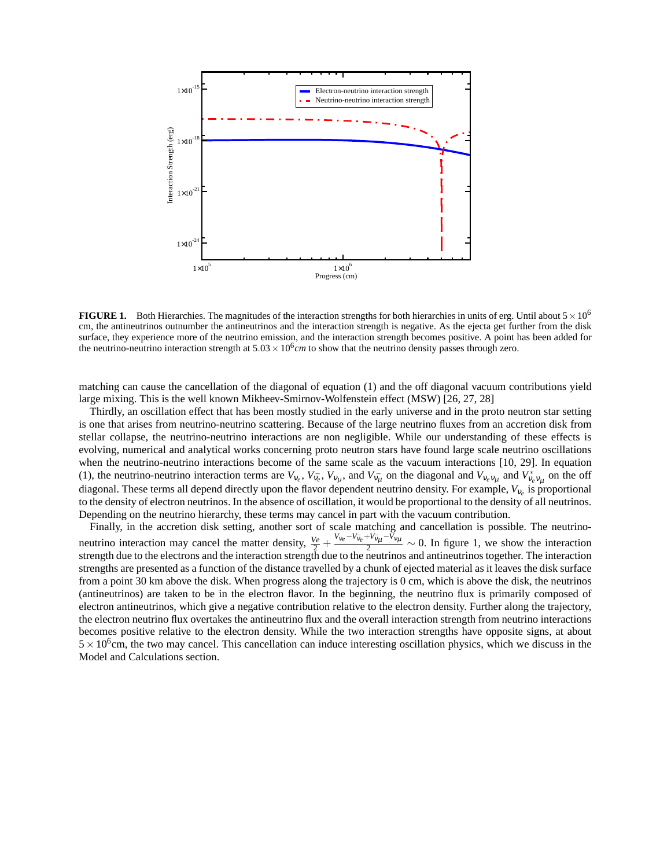

**FIGURE 1.** Both Hierarchies. The magnitudes of the interaction strengths for both hierarchies in units of erg. Until about  $5 \times 10^6$ cm, the antineutrinos outnumber the antineutrinos and the interaction strength is negative. As the ejecta get further from the disk surface, they experience more of the neutrino emission, and the interaction strength becomes positive. A point has been added for the neutrino-neutrino interaction strength at  $5.03 \times 10^6$  *cm* to show that the neutrino density passes through zero.

matching can cause the cancellation of the diagonal of equation (1) and the off diagonal vacuum contributions yield large mixing. This is the well known Mikheev-Smirnov-Wolfenstein effect (MSW) [26, 27, 28]

Thirdly, an oscillation effect that has been mostly studied in the early universe and in the proto neutron star setting is one that arises from neutrino-neutrino scattering. Because of the large neutrino fluxes from an accretion disk from stellar collapse, the neutrino-neutrino interactions are non negligible. While our understanding of these effects is evolving, numerical and analytical works concerning proto neutron stars have found large scale neutrino oscillations when the neutrino-neutrino interactions become of the same scale as the vacuum interactions [10, 29]. In equation (1), the neutrino-neutrino interaction terms are  $V_{v_e}$ ,  $V_{\bar{v}_e}$ ,  $V_{v_\mu}$ , and  $V_{\bar{v}_\mu}$  on the diagonal and  $V_{v_e}v_\mu$  and  $V_{\bar{v}_e}^*v_\mu$  on the off diagonal. These terms all depend directly upon the flavor dependent neutrino density. For example, *V*<sup>ν</sup>*<sup>e</sup>* is proportional to the density of electron neutrinos. In the absence of oscillation, it would be proportional to the density of all neutrinos. Depending on the neutrino hierarchy, these terms may cancel in part with the vacuum contribution.

Finally, in the accretion disk setting, another sort of scale matching and cancellation is possible. The neutrinoneutrino interaction may cancel the matter density,  $\frac{V_e}{2} + \frac{V_{\nu_e} - V_{\bar{\nu}_e} + V_{\bar{\nu}_\mu} - V_{\nu_\mu}}{2} \sim 0$ . In figure 1, we show the interaction strength due to the electrons and the interaction strength due to the neutrinos and antineutrinos together. The interaction strengths are presented as a function of the distance travelled by a chunk of ejected material as it leaves the disk surface from a point 30 km above the disk. When progress along the trajectory is 0 cm, which is above the disk, the neutrinos (antineutrinos) are taken to be in the electron flavor. In the beginning, the neutrino flux is primarily composed of electron antineutrinos, which give a negative contribution relative to the electron density. Further along the trajectory, the electron neutrino flux overtakes the antineutrino flux and the overall interaction strength from neutrino interactions becomes positive relative to the electron density. While the two interaction strengths have opposite signs, at about  $5 \times 10^6$  cm, the two may cancel. This cancellation can induce interesting oscillation physics, which we discuss in the Model and Calculations section.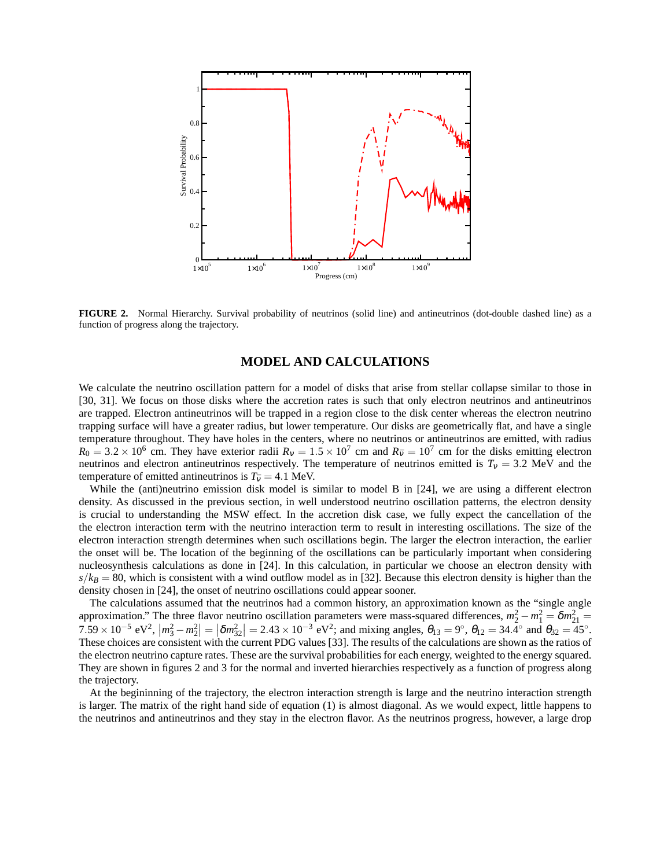

**FIGURE 2.** Normal Hierarchy. Survival probability of neutrinos (solid line) and antineutrinos (dot-double dashed line) as a function of progress along the trajectory.

# **MODEL AND CALCULATIONS**

We calculate the neutrino oscillation pattern for a model of disks that arise from stellar collapse similar to those in [30, 31]. We focus on those disks where the accretion rates is such that only electron neutrinos and antineutrinos are trapped. Electron antineutrinos will be trapped in a region close to the disk center whereas the electron neutrino trapping surface will have a greater radius, but lower temperature. Our disks are geometrically flat, and have a single temperature throughout. They have holes in the centers, where no neutrinos or antineutrinos are emitted, with radius  $R_0 = 3.2 \times 10^6$  cm. They have exterior radii  $R_v = 1.5 \times 10^7$  cm and  $R_{\bar{v}} = 10^7$  cm for the disks emitting electron neutrinos and electron antineutrinos respectively. The temperature of neutrinos emitted is  $T<sub>v</sub> = 3.2$  MeV and the temperature of emitted antineutrinos is  $T_{\bar{v}} = 4.1$  MeV.

While the (anti)neutrino emission disk model is similar to model B in [24], we are using a different electron density. As discussed in the previous section, in well understood neutrino oscillation patterns, the electron density is crucial to understanding the MSW effect. In the accretion disk case, we fully expect the cancellation of the the electron interaction term with the neutrino interaction term to result in interesting oscillations. The size of the electron interaction strength determines when such oscillations begin. The larger the electron interaction, the earlier the onset will be. The location of the beginning of the oscillations can be particularly important when considering nucleosynthesis calculations as done in [24]. In this calculation, in particular we choose an electron density with  $s/k_B = 80$ , which is consistent with a wind outflow model as in [32]. Because this electron density is higher than the density chosen in [24], the onset of neutrino oscillations could appear sooner.

The calculations assumed that the neutrinos had a common history, an approximation known as the "single angle approximation." The three flavor neutrino oscillation parameters were mass-squared differences,  $m_2^2 - m_1^2 = \delta m_{21}^2 =$  $7.59 \times 10^{-5}$  eV<sup>2</sup>,  $|m_3^2 - m_2^2| = |\delta m_{32}^2| = 2.43 \times 10^{-3}$  eV<sup>2</sup>; and mixing angles,  $\theta_{13} = 9^\circ$ ,  $\theta_{12} = 34.4^\circ$  and  $\theta_{32} = 45^\circ$ . These choices are consistent with the current PDG values [33]. The results of the calculations are shown as the ratios of the electron neutrino capture rates. These are the survival probabilities for each energy, weighted to the energy squared. They are shown in figures 2 and 3 for the normal and inverted hierarchies respectively as a function of progress along the trajectory.

At the begininning of the trajectory, the electron interaction strength is large and the neutrino interaction strength is larger. The matrix of the right hand side of equation (1) is almost diagonal. As we would expect, little happens to the neutrinos and antineutrinos and they stay in the electron flavor. As the neutrinos progress, however, a large drop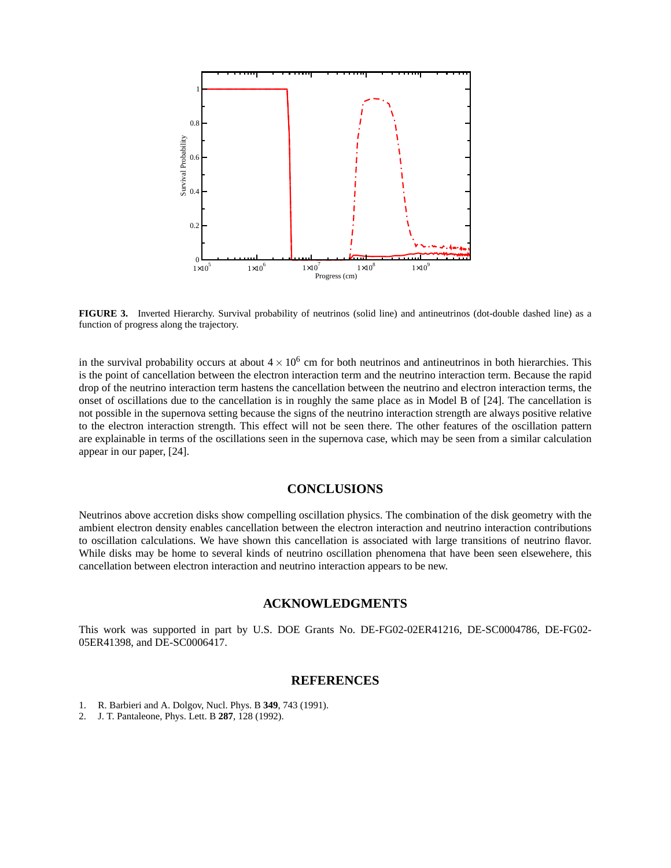



in the survival probability occurs at about  $4 \times 10^6$  cm for both neutrinos and antineutrinos in both hierarchies. This is the point of cancellation between the electron interaction term and the neutrino interaction term. Because the rapid drop of the neutrino interaction term hastens the cancellation between the neutrino and electron interaction terms, the onset of oscillations due to the cancellation is in roughly the same place as in Model B of [24]. The cancellation is not possible in the supernova setting because the signs of the neutrino interaction strength are always positive relative to the electron interaction strength. This effect will not be seen there. The other features of the oscillation pattern are explainable in terms of the oscillations seen in the supernova case, which may be seen from a similar calculation appear in our paper, [24].

### **CONCLUSIONS**

Neutrinos above accretion disks show compelling oscillation physics. The combination of the disk geometry with the ambient electron density enables cancellation between the electron interaction and neutrino interaction contributions to oscillation calculations. We have shown this cancellation is associated with large transitions of neutrino flavor. While disks may be home to several kinds of neutrino oscillation phenomena that have been seen elsewehere, this cancellation between electron interaction and neutrino interaction appears to be new.

#### **ACKNOWLEDGMENTS**

This work was supported in part by U.S. DOE Grants No. DE-FG02-02ER41216, DE-SC0004786, DE-FG02- 05ER41398, and DE-SC0006417.

#### **REFERENCES**

- 1. R. Barbieri and A. Dolgov, Nucl. Phys. B **349**, 743 (1991).
- 2. J. T. Pantaleone, Phys. Lett. B **287**, 128 (1992).